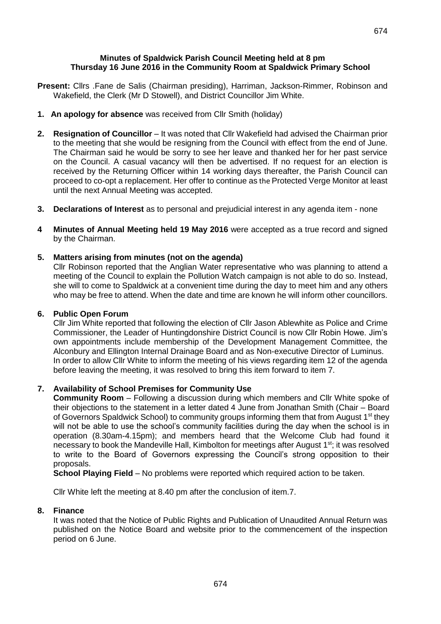#### **Minutes of Spaldwick Parish Council Meeting held at 8 pm Thursday 16 June 2016 in the Community Room at Spaldwick Primary School**

- **Present:** Cllrs .Fane de Salis (Chairman presiding), Harriman, Jackson-Rimmer, Robinson and Wakefield, the Clerk (Mr D Stowell), and District Councillor Jim White.
- **1. An apology for absence** was received from Cllr Smith (holiday)
- 2. Resignation of Councillor It was noted that Cllr Wakefield had advised the Chairman prior to the meeting that she would be resigning from the Council with effect from the end of June. The Chairman said he would be sorry to see her leave and thanked her for her past service on the Council. A casual vacancy will then be advertised. If no request for an election is received by the Returning Officer within 14 working days thereafter, the Parish Council can proceed to co-opt a replacement. Her offer to continue as the Protected Verge Monitor at least until the next Annual Meeting was accepted.
- **3. Declarations of Interest** as to personal and prejudicial interest in any agenda item none
- **4 Minutes of Annual Meeting held 19 May 2016** were accepted as a true record and signed by the Chairman.

# **5. Matters arising from minutes (not on the agenda)**

Cllr Robinson reported that the Anglian Water representative who was planning to attend a meeting of the Council to explain the Pollution Watch campaign is not able to do so. Instead, she will to come to Spaldwick at a convenient time during the day to meet him and any others who may be free to attend. When the date and time are known he will inform other councillors.

## **6. Public Open Forum**

Cllr Jim White reported that following the election of Cllr Jason Ablewhite as Police and Crime Commissioner, the Leader of Huntingdonshire District Council is now Cllr Robin Howe. Jim's own appointments include membership of the Development Management Committee, the Alconbury and Ellington Internal Drainage Board and as Non-executive Director of Luminus. In order to allow Cllr White to inform the meeting of his views regarding item 12 of the agenda before leaving the meeting, it was resolved to bring this item forward to item 7.

# **7. Availability of School Premises for Community Use**

**Community Room** – Following a discussion during which members and Cllr White spoke of their objections to the statement in a letter dated 4 June from Jonathan Smith (Chair – Board of Governors Spaldwick School) to community groups informing them that from August 1<sup>st</sup> they will not be able to use the school's community facilities during the day when the school is in operation (8.30am-4.15pm); and members heard that the Welcome Club had found it necessary to book the Mandeville Hall, Kimbolton for meetings after August 1<sup>st</sup>; it was resolved to write to the Board of Governors expressing the Council's strong opposition to their proposals.

**School Playing Field** – No problems were reported which required action to be taken.

Cllr White left the meeting at 8.40 pm after the conclusion of item.7.

## **8. Finance**

It was noted that the Notice of Public Rights and Publication of Unaudited Annual Return was published on the Notice Board and website prior to the commencement of the inspection period on 6 June.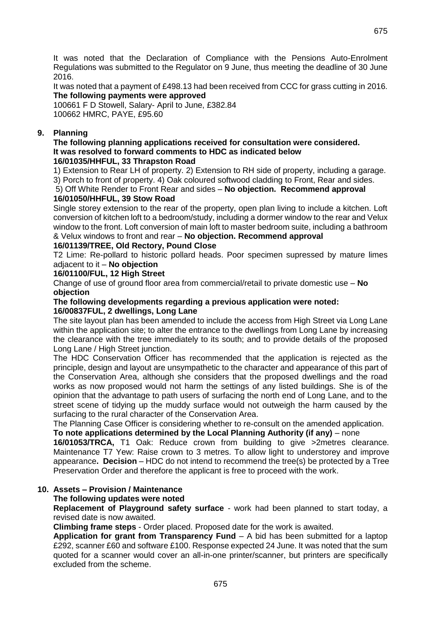It was noted that the Declaration of Compliance with the Pensions Auto-Enrolment Regulations was submitted to the Regulator on 9 June, thus meeting the deadline of 30 June 2016.

It was noted that a payment of £498.13 had been received from CCC for grass cutting in 2016. **The following payments were approved**

100661 F D Stowell, Salary- April to June, £382.84 100662 HMRC, PAYE, £95.60

# **9. Planning**

#### **The following planning applications received for consultation were considered. It was resolved to forward comments to HDC as indicated below 16/01035/HHFUL, 33 Thrapston Road**

1) Extension to Rear LH of property. 2) Extension to RH side of property, including a garage. 3) Porch to front of property. 4) Oak coloured softwood cladding to Front, Rear and sides.

5) Off White Render to Front Rear and sides – **No objection. Recommend approval 16/01050/HHFUL, 39 Stow Road**

Single storey extension to the rear of the property, open plan living to include a kitchen. Loft conversion of kitchen loft to a bedroom/study, including a dormer window to the rear and Velux window to the front. Loft conversion of main loft to master bedroom suite, including a bathroom & Velux windows to front and rear – **No objection. Recommend approval**

# **16/01139/TREE, Old Rectory, Pound Close**

T2 Lime: Re-pollard to historic pollard heads. Poor specimen supressed by mature limes adjacent to it – **No objection**

#### **16/01100/FUL, 12 High Street**

Change of use of ground floor area from commercial/retail to private domestic use – **No objection**

# **The following developments regarding a previous application were noted:**

### **16/00837FUL, 2 dwellings, Long Lane**

The site layout plan has been amended to include the access from High Street via Long Lane within the application site; to alter the entrance to the dwellings from Long Lane by increasing the clearance with the tree immediately to its south; and to provide details of the proposed Long Lane / High Street junction.

The HDC Conservation Officer has recommended that the application is rejected as the principle, design and layout are unsympathetic to the character and appearance of this part of the Conservation Area, although she considers that the proposed dwellings and the road works as now proposed would not harm the settings of any listed buildings. She is of the opinion that the advantage to path users of surfacing the north end of Long Lane, and to the street scene of tidying up the muddy surface would not outweigh the harm caused by the surfacing to the rural character of the Conservation Area.

The Planning Case Officer is considering whether to re-consult on the amended application.

## **To note applications determined by the Local Planning Authority (if any)** – none

**16/01053/TRCA,** T1 Oak: Reduce crown from building to give >2metres clearance. Maintenance T7 Yew: Raise crown to 3 metres. To allow light to understorey and improve appearance**. Decision** – HDC do not intend to recommend the tree(s) be protected by a Tree Preservation Order and therefore the applicant is free to proceed with the work.

## **10. Assets – Provision / Maintenance**

## **The following updates were noted**

**Replacement of Playground safety surface** - work had been planned to start today, a revised date is now awaited.

**Climbing frame steps** - Order placed. Proposed date for the work is awaited.

**Application for grant from Transparency Fund** – A bid has been submitted for a laptop £292, scanner £60 and software £100. Response expected 24 June. It was noted that the sum quoted for a scanner would cover an all-in-one printer/scanner, but printers are specifically excluded from the scheme.